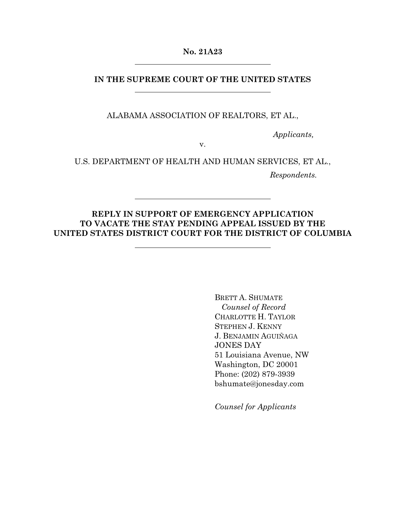**No. 21A23** 

## **IN THE SUPREME COURT OF THE UNITED STATES**

ALABAMA ASSOCIATION OF REALTORS, ET AL.,

*Applicants,* 

v.

U.S. DEPARTMENT OF HEALTH AND HUMAN SERVICES, ET AL., *Respondents.* 

## **REPLY IN SUPPORT OF EMERGENCY APPLICATION TO VACATE THE STAY PENDING APPEAL ISSUED BY THE UNITED STATES DISTRICT COURT FOR THE DISTRICT OF COLUMBIA**

BRETT A. SHUMATE *Counsel of Record*  CHARLOTTE H. TAYLOR STEPHEN J. KENNY J. BENJAMIN AGUIÑAGA JONES DAY 51 Louisiana Avenue, NW Washington, DC 20001 Phone: (202) 879-3939 bshumate@jonesday.com

*Counsel for Applicants*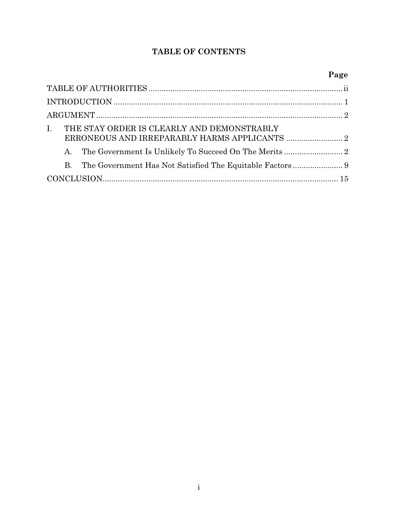## **TABLE OF CONTENTS**

# **Page**

| THE STAY ORDER IS CLEARLY AND DEMONSTRABLY<br>$\mathbf{I}$ . |  |
|--------------------------------------------------------------|--|
|                                                              |  |
| $\mathbf{B}$                                                 |  |
|                                                              |  |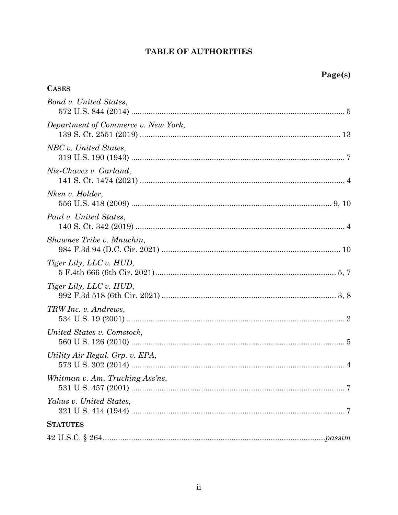## TABLE OF AUTHORITIES

| <b>CASES</b>                        |
|-------------------------------------|
| Bond v. United States,              |
| Department of Commerce v. New York, |
| NBC v. United States,               |
| Niz-Chavez v. Garland,              |
| Nken v. Holder,                     |
| Paul v. United States,              |
| Shawnee Tribe v. Mnuchin,           |
| <i>Tiger Lily, LLC v. HUD,</i>      |
| <i>Tiger Lily, LLC v. HUD,</i>      |
| TRW Inc. v. Andrews,                |
| United States v. Comstock,          |
| Utility Air Regul. Grp. v. EPA,     |
| Whitman v. Am. Trucking Ass'ns,     |
| Yakus v. United States,             |
| <b>STATUTES</b>                     |
|                                     |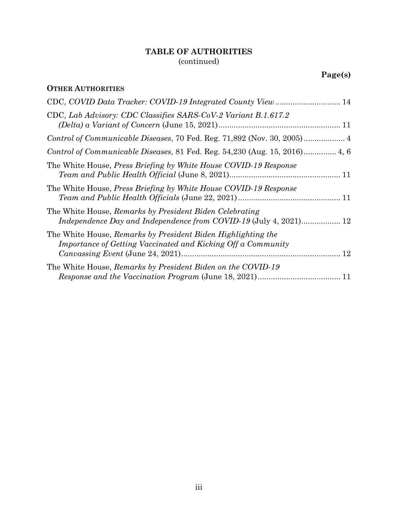## **TABLE OF AUTHORITIES**  (continued)

## **OTHER AUTHORITIES**

| CDC, COVID Data Tracker: COVID-19 Integrated County View  14                                                                 |
|------------------------------------------------------------------------------------------------------------------------------|
| CDC, Lab Advisory: CDC Classifies SARS-CoV-2 Variant B.1.617.2                                                               |
|                                                                                                                              |
|                                                                                                                              |
| The White House, Press Briefing by White House COVID-19 Response                                                             |
| The White House, <i>Press Briefing by White House COVID-19 Response</i>                                                      |
| The White House, Remarks by President Biden Celebrating<br>Independence Day and Independence from COVID-19 (July 4, 2021) 12 |
| The White House, Remarks by President Biden Highlighting the<br>Importance of Getting Vaccinated and Kicking Off a Community |
| The White House, Remarks by President Biden on the COVID-19                                                                  |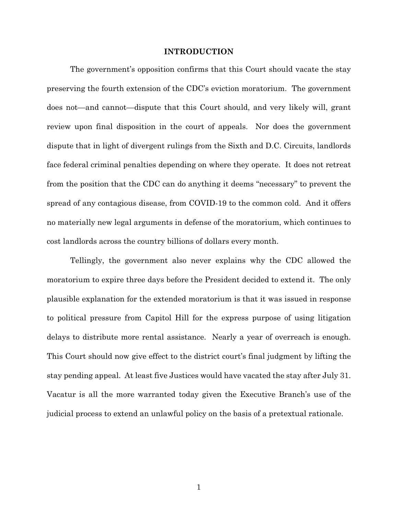#### **INTRODUCTION**

The government's opposition confirms that this Court should vacate the stay preserving the fourth extension of the CDC's eviction moratorium. The government does not—and cannot—dispute that this Court should, and very likely will, grant review upon final disposition in the court of appeals. Nor does the government dispute that in light of divergent rulings from the Sixth and D.C. Circuits, landlords face federal criminal penalties depending on where they operate. It does not retreat from the position that the CDC can do anything it deems "necessary" to prevent the spread of any contagious disease, from COVID-19 to the common cold. And it offers no materially new legal arguments in defense of the moratorium, which continues to cost landlords across the country billions of dollars every month.

Tellingly, the government also never explains why the CDC allowed the moratorium to expire three days before the President decided to extend it. The only plausible explanation for the extended moratorium is that it was issued in response to political pressure from Capitol Hill for the express purpose of using litigation delays to distribute more rental assistance. Nearly a year of overreach is enough. This Court should now give effect to the district court's final judgment by lifting the stay pending appeal. At least five Justices would have vacated the stay after July 31. Vacatur is all the more warranted today given the Executive Branch's use of the judicial process to extend an unlawful policy on the basis of a pretextual rationale.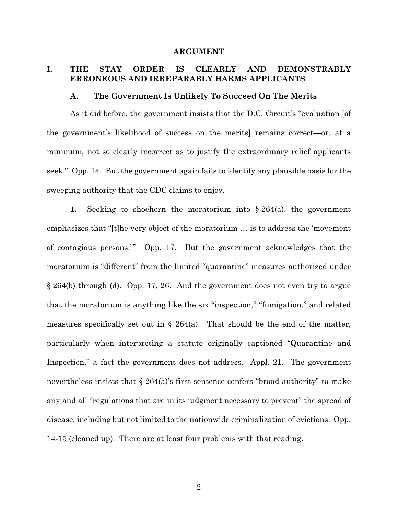#### **ARGUMENT**

## **I. THE STAY ORDER IS CLEARLY AND DEMONSTRABLY ERRONEOUS AND IRREPARABLY HARMS APPLICANTS**

#### **A. The Government Is Unlikely To Succeed On The Merits**

As it did before, the government insists that the D.C. Circuit's "evaluation [of the government's likelihood of success on the merits] remains correct—or, at a minimum, not so clearly incorrect as to justify the extraordinary relief applicants seek." Opp. 14. But the government again fails to identify any plausible basis for the sweeping authority that the CDC claims to enjoy.

**1.** Seeking to shoehorn the moratorium into § 264(a), the government emphasizes that "[t]he very object of the moratorium … is to address the 'movement of contagious persons.'" Opp. 17. But the government acknowledges that the moratorium is "different" from the limited "quarantine" measures authorized under § 264(b) through (d). Opp. 17, 26. And the government does not even try to argue that the moratorium is anything like the six "inspection," "fumigation," and related measures specifically set out in § 264(a). That should be the end of the matter, particularly when interpreting a statute originally captioned "Quarantine and Inspection," a fact the government does not address. Appl. 21.The government nevertheless insists that  $\S 264(a)$ 's first sentence confers "broad authority" to make any and all "regulations that are in its judgment necessary to prevent" the spread of disease, including but not limited to the nationwide criminalization of evictions. Opp. 14-15 (cleaned up). There are at least four problems with that reading.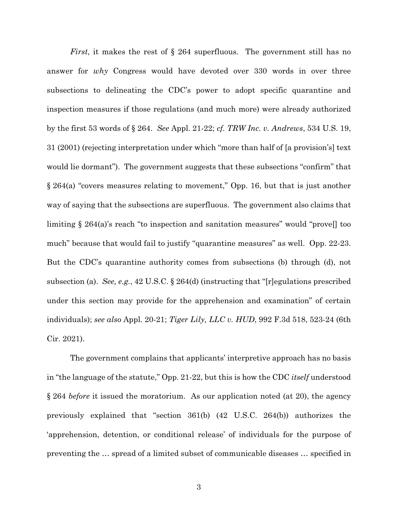*First*, it makes the rest of § 264 superfluous. The government still has no answer for *why* Congress would have devoted over 330 words in over three subsections to delineating the CDC's power to adopt specific quarantine and inspection measures if those regulations (and much more) were already authorized by the first 53 words of § 264. *See* Appl. 21-22; *cf. TRW Inc. v. Andrews*, 534 U.S. 19, 31 (2001) (rejecting interpretation under which "more than half of [a provision's] text would lie dormant"). The government suggests that these subsections "confirm" that § 264(a) "covers measures relating to movement," Opp. 16, but that is just another way of saying that the subsections are superfluous. The government also claims that limiting § 264(a)'s reach "to inspection and sanitation measures" would "prove[] too much" because that would fail to justify "quarantine measures" as well. Opp. 22-23. But the CDC's quarantine authority comes from subsections (b) through (d), not subsection (a). *See, e.g.*, 42 U.S.C. § 264(d) (instructing that "[r]egulations prescribed under this section may provide for the apprehension and examination" of certain individuals); *see also* Appl. 20-21; *Tiger Lily, LLC v. HUD*, 992 F.3d 518, 523-24 (6th Cir. 2021).

 The government complains that applicants' interpretive approach has no basis in "the language of the statute," Opp. 21-22, but this is how the CDC *itself* understood § 264 *before* it issued the moratorium. As our application noted (at 20), the agency previously explained that "section 361(b) (42 U.S.C. 264(b)) authorizes the 'apprehension, detention, or conditional release' of individuals for the purpose of preventing the … spread of a limited subset of communicable diseases … specified in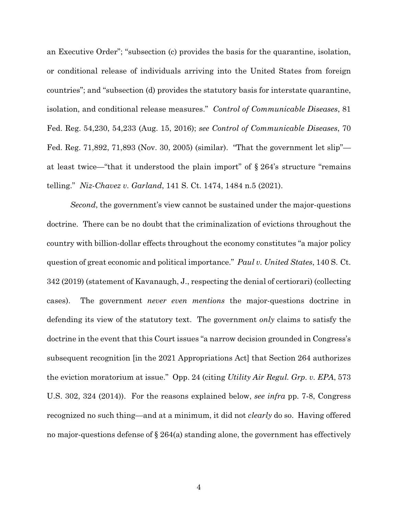an Executive Order"; "subsection (c) provides the basis for the quarantine, isolation, or conditional release of individuals arriving into the United States from foreign countries"; and "subsection (d) provides the statutory basis for interstate quarantine, isolation, and conditional release measures." *Control of Communicable Diseases*, 81 Fed. Reg. 54,230, 54,233 (Aug. 15, 2016); *see Control of Communicable Diseases*, 70 Fed. Reg. 71,892, 71,893 (Nov. 30, 2005) (similar). "That the government let slip" at least twice—"that it understood the plain import" of § 264's structure "remains telling." *Niz-Chavez v. Garland*, 141 S. Ct. 1474, 1484 n.5 (2021).

*Second*, the government's view cannot be sustained under the major-questions doctrine. There can be no doubt that the criminalization of evictions throughout the country with billion-dollar effects throughout the economy constitutes "a major policy question of great economic and political importance." *Paul v. United States*, 140 S. Ct. 342 (2019) (statement of Kavanaugh, J., respecting the denial of certiorari) (collecting cases). The government *never even mentions* the major-questions doctrine in defending its view of the statutory text. The government *only* claims to satisfy the doctrine in the event that this Court issues "a narrow decision grounded in Congress's subsequent recognition [in the 2021 Appropriations Act] that Section 264 authorizes the eviction moratorium at issue." Opp. 24 (citing *Utility Air Regul. Grp. v. EPA*, 573 U.S. 302, 324 (2014)). For the reasons explained below, *see infra* pp. 7-8, Congress recognized no such thing—and at a minimum, it did not *clearly* do so. Having offered no major-questions defense of § 264(a) standing alone, the government has effectively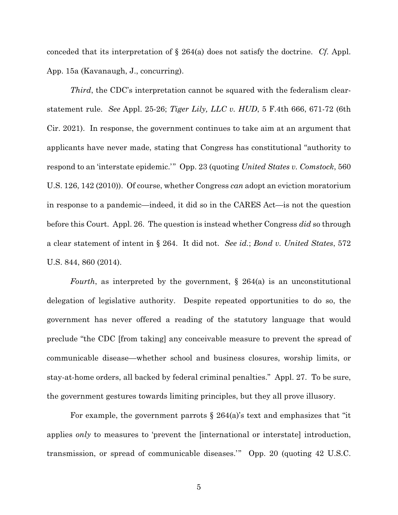conceded that its interpretation of § 264(a) does not satisfy the doctrine. *Cf.* Appl. App. 15a (Kavanaugh, J., concurring).

*Third*, the CDC's interpretation cannot be squared with the federalism clearstatement rule. *See* Appl. 25-26; *Tiger Lily, LLC v. HUD*, 5 F.4th 666, 671-72 (6th Cir. 2021). In response, the government continues to take aim at an argument that applicants have never made, stating that Congress has constitutional "authority to respond to an 'interstate epidemic.'" Opp. 23 (quoting *United States v. Comstock*, 560 U.S. 126, 142 (2010)). Of course, whether Congress *can* adopt an eviction moratorium in response to a pandemic—indeed, it did so in the CARES Act—is not the question before this Court. Appl. 26. The question is instead whether Congress *did* so through a clear statement of intent in § 264. It did not. *See id.*; *Bond v. United States*, 572 U.S. 844, 860 (2014).

*Fourth*, as interpreted by the government, § 264(a) is an unconstitutional delegation of legislative authority. Despite repeated opportunities to do so, the government has never offered a reading of the statutory language that would preclude "the CDC [from taking] any conceivable measure to prevent the spread of communicable disease—whether school and business closures, worship limits, or stay-at-home orders, all backed by federal criminal penalties." Appl. 27. To be sure, the government gestures towards limiting principles, but they all prove illusory.

For example, the government parrots  $\S 264(a)$ 's text and emphasizes that "it applies *only* to measures to 'prevent the [international or interstate] introduction, transmission, or spread of communicable diseases.'" Opp. 20 (quoting 42 U.S.C.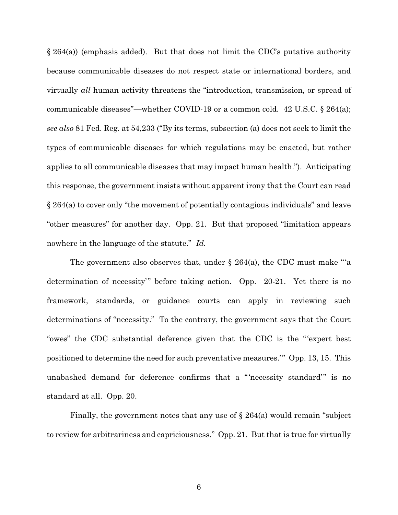$\S 264(a)$  (emphasis added). But that does not limit the CDC's putative authority because communicable diseases do not respect state or international borders, and virtually *all* human activity threatens the "introduction, transmission, or spread of communicable diseases"—whether COVID-19 or a common cold. 42 U.S.C. § 264(a); *see also* 81 Fed. Reg. at 54,233 ("By its terms, subsection (a) does not seek to limit the types of communicable diseases for which regulations may be enacted, but rather applies to all communicable diseases that may impact human health."). Anticipating this response, the government insists without apparent irony that the Court can read § 264(a) to cover only "the movement of potentially contagious individuals" and leave "other measures" for another day. Opp. 21. But that proposed "limitation appears nowhere in the language of the statute." *Id.*

The government also observes that, under  $\S 264(a)$ , the CDC must make "'a determination of necessity'" before taking action. Opp. 20-21. Yet there is no framework, standards, or guidance courts can apply in reviewing such determinations of "necessity." To the contrary, the government says that the Court "owes" the CDC substantial deference given that the CDC is the "'expert best positioned to determine the need for such preventative measures.'" Opp. 13, 15. This unabashed demand for deference confirms that a "'necessity standard'" is no standard at all. Opp. 20.

Finally, the government notes that any use of  $\S 264(a)$  would remain "subject" to review for arbitrariness and capriciousness." Opp. 21. But that is true for virtually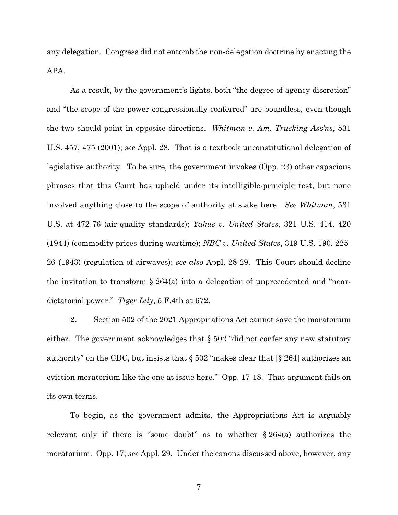any delegation. Congress did not entomb the non-delegation doctrine by enacting the APA.

As a result, by the government's lights, both "the degree of agency discretion" and "the scope of the power congressionally conferred" are boundless, even though the two should point in opposite directions. *Whitman v. Am. Trucking Ass'ns*, 531 U.S. 457, 475 (2001); *see* Appl. 28. That is a textbook unconstitutional delegation of legislative authority. To be sure, the government invokes (Opp. 23) other capacious phrases that this Court has upheld under its intelligible-principle test, but none involved anything close to the scope of authority at stake here. *See Whitman*, 531 U.S. at 472-76 (air-quality standards); *Yakus v. United States*, 321 U.S. 414, 420 (1944) (commodity prices during wartime); *NBC v. United States*, 319 U.S. 190, 225- 26 (1943) (regulation of airwaves); *see also* Appl. 28-29. This Court should decline the invitation to transform  $\S 264(a)$  into a delegation of unprecedented and "neardictatorial power." *Tiger Lily*, 5 F.4th at 672.

**2.** Section 502 of the 2021 Appropriations Act cannot save the moratorium either. The government acknowledges that § 502 "did not confer any new statutory authority" on the CDC, but insists that § 502 "makes clear that [§ 264] authorizes an eviction moratorium like the one at issue here." Opp. 17-18. That argument fails on its own terms.

To begin, as the government admits, the Appropriations Act is arguably relevant only if there is "some doubt" as to whether  $\S 264(a)$  authorizes the moratorium. Opp. 17; *see* Appl. 29. Under the canons discussed above, however, any

7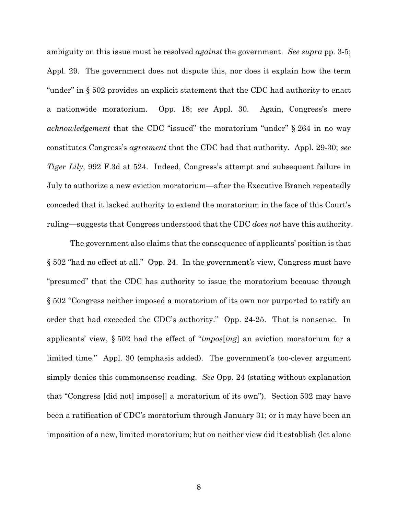ambiguity on this issue must be resolved *against* the government. *See supra* pp. 3-5; Appl. 29. The government does not dispute this, nor does it explain how the term "under" in § 502 provides an explicit statement that the CDC had authority to enact a nationwide moratorium. Opp. 18; *see* Appl. 30. Again, Congress's mere *acknowledgement* that the CDC "issued" the moratorium "under" § 264 in no way constitutes Congress's *agreement* that the CDC had that authority. Appl. 29-30; *see Tiger Lily*, 992 F.3d at 524. Indeed, Congress's attempt and subsequent failure in July to authorize a new eviction moratorium—after the Executive Branch repeatedly conceded that it lacked authority to extend the moratorium in the face of this Court's ruling—suggests that Congress understood that the CDC *does not* have this authority.

The government also claims that the consequence of applicants' position is that § 502 "had no effect at all." Opp. 24. In the government's view, Congress must have "presumed" that the CDC has authority to issue the moratorium because through § 502 "Congress neither imposed a moratorium of its own nor purported to ratify an order that had exceeded the CDC's authority." Opp. 24-25. That is nonsense. In applicants' view, § 502 had the effect of "*impos*[*ing*] an eviction moratorium for a limited time." Appl. 30 (emphasis added). The government's too-clever argument simply denies this commonsense reading. *See* Opp. 24 (stating without explanation that "Congress [did not] impose[] a moratorium of its own"). Section 502 may have been a ratification of CDC's moratorium through January 31; or it may have been an imposition of a new, limited moratorium; but on neither view did it establish (let alone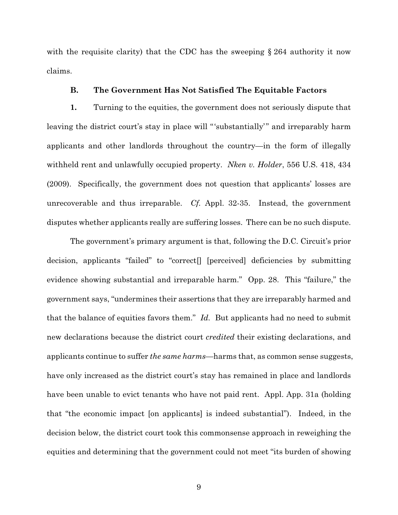with the requisite clarity) that the CDC has the sweeping § 264 authority it now claims.

#### **B. The Government Has Not Satisfied The Equitable Factors**

**1.** Turning to the equities, the government does not seriously dispute that leaving the district court's stay in place will "'substantially'" and irreparably harm applicants and other landlords throughout the country—in the form of illegally withheld rent and unlawfully occupied property. *Nken v. Holder*, 556 U.S. 418, 434 (2009). Specifically, the government does not question that applicants' losses are unrecoverable and thus irreparable. *Cf.* Appl. 32-35. Instead, the government disputes whether applicants really are suffering losses. There can be no such dispute.

The government's primary argument is that, following the D.C. Circuit's prior decision, applicants "failed" to "correct[] [perceived] deficiencies by submitting evidence showing substantial and irreparable harm." Opp. 28. This "failure," the government says, "undermines their assertions that they are irreparably harmed and that the balance of equities favors them." *Id.* But applicants had no need to submit new declarations because the district court *credited* their existing declarations, and applicants continue to suffer *the same harms*—harms that, as common sense suggests, have only increased as the district court's stay has remained in place and landlords have been unable to evict tenants who have not paid rent. Appl. App. 31a (holding that "the economic impact [on applicants] is indeed substantial"). Indeed, in the decision below, the district court took this commonsense approach in reweighing the equities and determining that the government could not meet "its burden of showing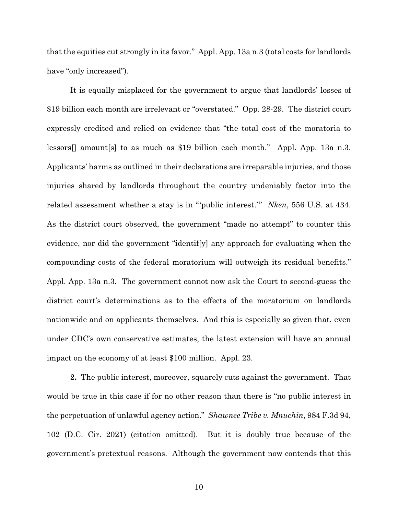that the equities cut strongly in its favor." Appl. App. 13a n.3 (total costs for landlords have "only increased").

It is equally misplaced for the government to argue that landlords' losses of \$19 billion each month are irrelevant or "overstated." Opp. 28-29. The district court expressly credited and relied on evidence that "the total cost of the moratoria to lessors[] amount[s] to as much as \$19 billion each month." Appl. App. 13a n.3. Applicants' harms as outlined in their declarations are irreparable injuries, and those injuries shared by landlords throughout the country undeniably factor into the related assessment whether a stay is in "'public interest.'" *Nken*, 556 U.S. at 434. As the district court observed, the government "made no attempt" to counter this evidence, nor did the government "identif[y] any approach for evaluating when the compounding costs of the federal moratorium will outweigh its residual benefits." Appl. App. 13a n.3. The government cannot now ask the Court to second-guess the district court's determinations as to the effects of the moratorium on landlords nationwide and on applicants themselves. And this is especially so given that, even under CDC's own conservative estimates, the latest extension will have an annual impact on the economy of at least \$100 million. Appl. 23.

**2.** The public interest, moreover, squarely cuts against the government. That would be true in this case if for no other reason than there is "no public interest in the perpetuation of unlawful agency action." *Shawnee Tribe v. Mnuchin*, 984 F.3d 94, 102 (D.C. Cir. 2021) (citation omitted). But it is doubly true because of the government's pretextual reasons. Although the government now contends that this

10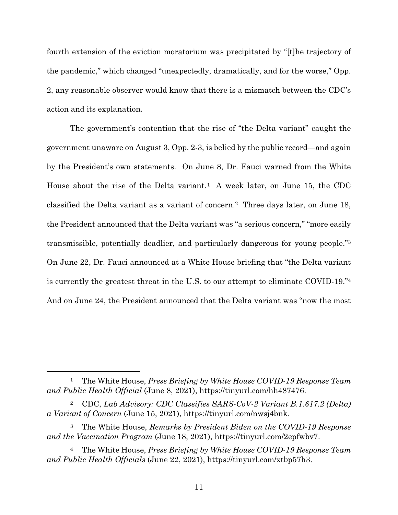fourth extension of the eviction moratorium was precipitated by "[t]he trajectory of the pandemic," which changed "unexpectedly, dramatically, and for the worse," Opp. 2, any reasonable observer would know that there is a mismatch between the CDC's action and its explanation.

The government's contention that the rise of "the Delta variant" caught the government unaware on August 3, Opp. 2-3, is belied by the public record—and again by the President's own statements. On June 8, Dr. Fauci warned from the White House about the rise of the Delta variant.<sup>1</sup> A week later, on June 15, the CDC classified the Delta variant as a variant of concern.2 Three days later, on June 18, the President announced that the Delta variant was "a serious concern," "more easily transmissible, potentially deadlier, and particularly dangerous for young people."3 On June 22, Dr. Fauci announced at a White House briefing that "the Delta variant is currently the greatest threat in the U.S. to our attempt to eliminate COVID-19."4 And on June 24, the President announced that the Delta variant was "now the most

 $\overline{a}$ 

<sup>1</sup> The White House, *Press Briefing by White House COVID-19 Response Team and Public Health Official* (June 8, 2021), https://tinyurl.com/hh487476.

<sup>2</sup> CDC, *Lab Advisory: CDC Classifies SARS-CoV-2 Variant B.1.617.2 (Delta) a Variant of Concern* (June 15, 2021), https://tinyurl.com/nwsj4bnk.

<sup>3</sup> The White House, *Remarks by President Biden on the COVID-19 Response and the Vaccination Program* (June 18, 2021), https://tinyurl.com/2epfwbv7.

<sup>4</sup> The White House, *Press Briefing by White House COVID-19 Response Team and Public Health Officials* (June 22, 2021), https://tinyurl.com/xtbp57h3.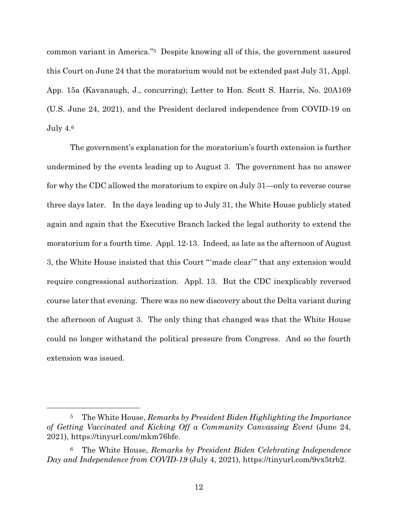common variant in America."5 Despite knowing all of this, the government assured this Court on June 24 that the moratorium would not be extended past July 31, Appl. App. 15a (Kavanaugh, J., concurring); Letter to Hon. Scott S. Harris, No. 20A169 (U.S. June 24, 2021), and the President declared independence from COVID-19 on July  $4.6$ 

The government's explanation for the moratorium's fourth extension is further undermined by the events leading up to August 3. The government has no answer for why the CDC allowed the moratorium to expire on July 31—only to reverse course three days later. In the days leading up to July 31, the White House publicly stated again and again that the Executive Branch lacked the legal authority to extend the moratorium for a fourth time. Appl. 12-13. Indeed, as late as the afternoon of August 3, the White House insisted that this Court "'made clear'" that any extension would require congressional authorization. Appl. 13. But the CDC inexplicably reversed course later that evening. There was no new discovery about the Delta variant during the afternoon of August 3. The only thing that changed was that the White House could no longer withstand the political pressure from Congress. And so the fourth extension was issued.

 $\overline{a}$ 

<sup>5</sup> The White House, *Remarks by President Biden Highlighting the Importance of Getting Vaccinated and Kicking Off a Community Canvassing Event* (June 24, 2021), https://tinyurl.com/mkm76bfe.

<sup>6</sup> The White House, *Remarks by President Biden Celebrating Independence Day and Independence from COVID-19* (July 4, 2021), https://tinyurl.com/9vx5trb2.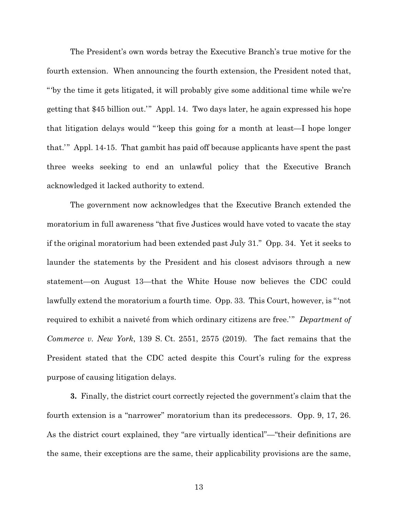The President's own words betray the Executive Branch's true motive for the fourth extension. When announcing the fourth extension, the President noted that, "'by the time it gets litigated, it will probably give some additional time while we're getting that \$45 billion out.'" Appl. 14. Two days later, he again expressed his hope that litigation delays would "'keep this going for a month at least—I hope longer that.'" Appl. 14-15. That gambit has paid off because applicants have spent the past three weeks seeking to end an unlawful policy that the Executive Branch acknowledged it lacked authority to extend.

The government now acknowledges that the Executive Branch extended the moratorium in full awareness "that five Justices would have voted to vacate the stay if the original moratorium had been extended past July 31." Opp. 34. Yet it seeks to launder the statements by the President and his closest advisors through a new statement—on August 13—that the White House now believes the CDC could lawfully extend the moratorium a fourth time. Opp. 33. This Court, however, is "'not required to exhibit a naiveté from which ordinary citizens are free.'" *Department of Commerce v. New York*, 139 S. Ct. 2551, 2575 (2019). The fact remains that the President stated that the CDC acted despite this Court's ruling for the express purpose of causing litigation delays.

**3.** Finally, the district court correctly rejected the government's claim that the fourth extension is a "narrower" moratorium than its predecessors. Opp. 9, 17, 26. As the district court explained, they "are virtually identical"—"their definitions are the same, their exceptions are the same, their applicability provisions are the same,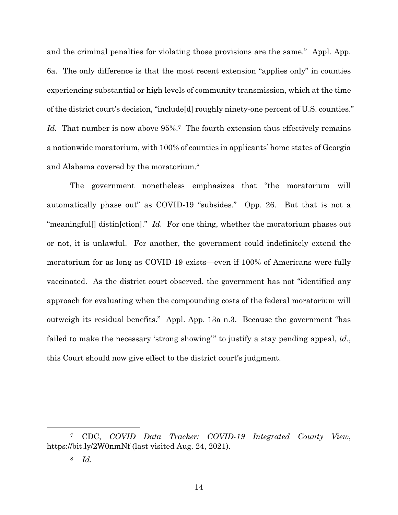and the criminal penalties for violating those provisions are the same." Appl. App. 6a. The only difference is that the most recent extension "applies only" in counties experiencing substantial or high levels of community transmission, which at the time of the district court's decision, "include[d] roughly ninety-one percent of U.S. counties." *Id.* That number is now above 95%.<sup>7</sup> The fourth extension thus effectively remains a nationwide moratorium, with 100% of counties in applicants' home states of Georgia and Alabama covered by the moratorium.8

The government nonetheless emphasizes that "the moratorium will automatically phase out" as COVID-19 "subsides." Opp. 26. But that is not a "meaningful<sup>[]</sup> distin<sup>[ction]." *Id.* For one thing, whether the moratorium phases out</sup> or not, it is unlawful. For another, the government could indefinitely extend the moratorium for as long as COVID-19 exists—even if 100% of Americans were fully vaccinated. As the district court observed, the government has not "identified any approach for evaluating when the compounding costs of the federal moratorium will outweigh its residual benefits." Appl. App. 13a n.3. Because the government "has failed to make the necessary 'strong showing'" to justify a stay pending appeal, *id.*, this Court should now give effect to the district court's judgment.

 $\overline{a}$ 

<sup>7</sup> CDC, *COVID Data Tracker: COVID-19 Integrated County View*, https://bit.ly/2W0nmNf (last visited Aug. 24, 2021).

<sup>8</sup> *Id.*